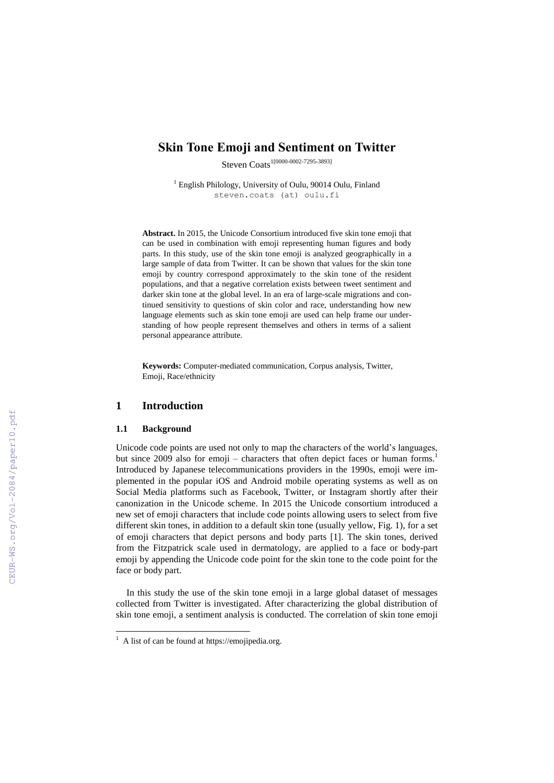# **Skin Tone Emoji and Sentiment on Twitter**

Steven Coats<sup>1[0000-0002-7295-3893]</sup>

<sup>1</sup> English Philology, University of Oulu, 90014 Oulu, Finland steven.coats (at) oulu.fi

**Abstract.** In 2015, the Unicode Consortium introduced five skin tone emoji that can be used in combination with emoji representing human figures and body parts. In this study, use of the skin tone emoji is analyzed geographically in a large sample of data from Twitter. It can be shown that values for the skin tone emoji by country correspond approximately to the skin tone of the resident populations, and that a negative correlation exists between tweet sentiment and darker skin tone at the global level. In an era of large-scale migrations and continued sensitivity to questions of skin color and race, understanding how new language elements such as skin tone emoji are used can help frame our understanding of how people represent themselves and others in terms of a salient personal appearance attribute.

**Keywords:** Computer-mediated communication, Corpus analysis, Twitter, Emoji, Race/ethnicity

## **1 Introduction**

### **1.1 Background**

 $\overline{a}$ 

Unicode code points are used not only to map the characters of the world's languages, but since 2009 also for emoji – characters that often depict faces or human forms.<sup>1</sup> Introduced by Japanese telecommunications providers in the 1990s, emoji were implemented in the popular iOS and Android mobile operating systems as well as on Social Media platforms such as Facebook, Twitter, or Instagram shortly after their canonization in the Unicode scheme. In 2015 the Unicode consortium introduced a new set of emoji characters that include code points allowing users to select from five different skin tones, in addition to a default skin tone (usually yellow, Fig. 1), for a set of emoji characters that depict persons and body parts [1]. The skin tones, derived from the Fitzpatrick scale used in dermatology, are applied to a face or body-part emoji by appending the Unicode code point for the skin tone to the code point for the face or body part.

In this study the use of the skin tone emoji in a large global dataset of messages collected from Twitter is investigated. After characterizing the global distribution of skin tone emoji, a sentiment analysis is conducted. The correlation of skin tone emoji

<sup>&</sup>lt;sup>1</sup> A list of can be found a[t https://emojipedia.org.](https://emojipedia.org/)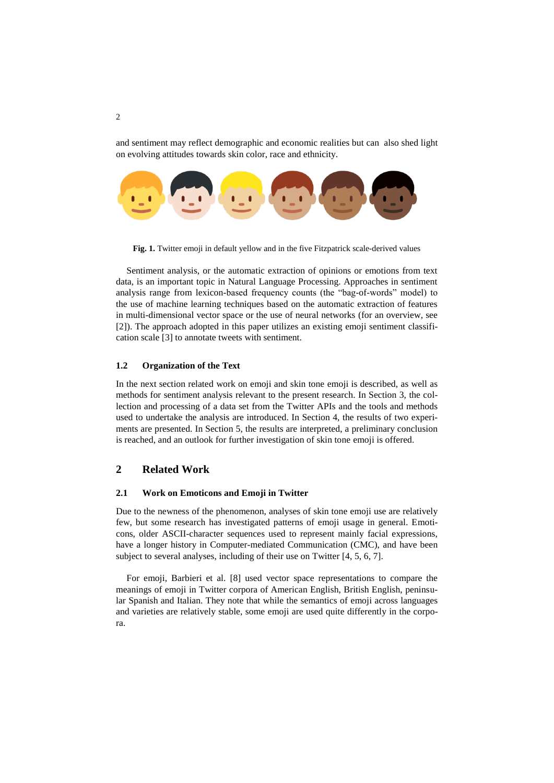and sentiment may reflect demographic and economic realities but can also shed light on evolving attitudes towards skin color, race and ethnicity.



**Fig. 1.** Twitter emoji in default yellow and in the five Fitzpatrick scale-derived values

Sentiment analysis, or the automatic extraction of opinions or emotions from text data, is an important topic in Natural Language Processing. Approaches in sentiment analysis range from lexicon-based frequency counts (the "bag-of-words" model) to the use of machine learning techniques based on the automatic extraction of features in multi-dimensional vector space or the use of neural networks (for an overview, see [2]). The approach adopted in this paper utilizes an existing emoji sentiment classification scale [3] to annotate tweets with sentiment.

### **1.2 Organization of the Text**

In the next section related work on emoji and skin tone emoji is described, as well as methods for sentiment analysis relevant to the present research. In Section 3, the collection and processing of a data set from the Twitter APIs and the tools and methods used to undertake the analysis are introduced. In Section 4, the results of two experiments are presented. In Section 5, the results are interpreted, a preliminary conclusion is reached, and an outlook for further investigation of skin tone emoji is offered.

# **2 Related Work**

### **2.1 Work on Emoticons and Emoji in Twitter**

Due to the newness of the phenomenon, analyses of skin tone emoji use are relatively few, but some research has investigated patterns of emoji usage in general. Emoticons, older ASCII-character sequences used to represent mainly facial expressions, have a longer history in Computer-mediated Communication (CMC), and have been subject to several analyses, including of their use on Twitter [4, 5, 6, 7].

For emoji, Barbieri et al. [8] used vector space representations to compare the meanings of emoji in Twitter corpora of American English, British English, peninsular Spanish and Italian. They note that while the semantics of emoji across languages and varieties are relatively stable, some emoji are used quite differently in the corpora.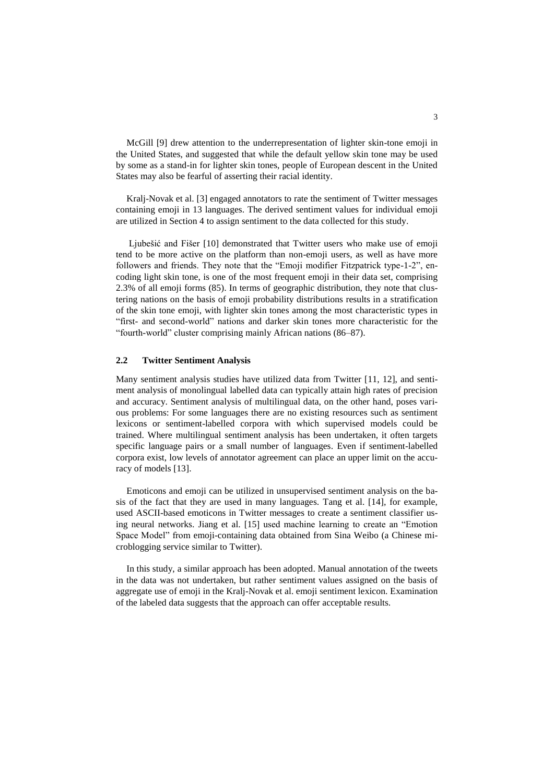McGill [9] drew attention to the underrepresentation of lighter skin-tone emoji in the United States, and suggested that while the default yellow skin tone may be used by some as a stand-in for lighter skin tones, people of European descent in the United States may also be fearful of asserting their racial identity.

Kralj-Novak et al. [3] engaged annotators to rate the sentiment of Twitter messages containing emoji in 13 languages. The derived sentiment values for individual emoji are utilized in Section 4 to assign sentiment to the data collected for this study.

Ljubešić and Fišer [10] demonstrated that Twitter users who make use of emoji tend to be more active on the platform than non-emoji users, as well as have more followers and friends. They note that the "Emoji modifier Fitzpatrick type-1-2", encoding light skin tone, is one of the most frequent emoji in their data set, comprising 2.3% of all emoji forms (85). In terms of geographic distribution, they note that clustering nations on the basis of emoji probability distributions results in a stratification of the skin tone emoji, with lighter skin tones among the most characteristic types in "first- and second-world" nations and darker skin tones more characteristic for the "fourth-world" cluster comprising mainly African nations (86–87).

### **2.2 Twitter Sentiment Analysis**

Many sentiment analysis studies have utilized data from Twitter [11, 12], and sentiment analysis of monolingual labelled data can typically attain high rates of precision and accuracy. Sentiment analysis of multilingual data, on the other hand, poses various problems: For some languages there are no existing resources such as sentiment lexicons or sentiment-labelled corpora with which supervised models could be trained. Where multilingual sentiment analysis has been undertaken, it often targets specific language pairs or a small number of languages. Even if sentiment-labelled corpora exist, low levels of annotator agreement can place an upper limit on the accuracy of models [13].

Emoticons and emoji can be utilized in unsupervised sentiment analysis on the basis of the fact that they are used in many languages. Tang et al. [14], for example, used ASCII-based emoticons in Twitter messages to create a sentiment classifier using neural networks. Jiang et al. [15] used machine learning to create an "Emotion Space Model" from emoji-containing data obtained from Sina Weibo (a Chinese microblogging service similar to Twitter).

In this study, a similar approach has been adopted. Manual annotation of the tweets in the data was not undertaken, but rather sentiment values assigned on the basis of aggregate use of emoji in the Kralj-Novak et al. emoji sentiment lexicon. Examination of the labeled data suggests that the approach can offer acceptable results.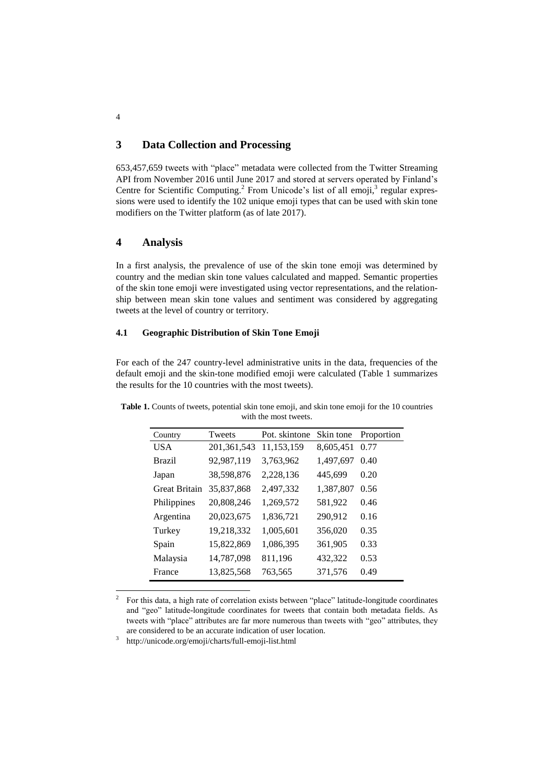# **3 Data Collection and Processing**

653,457,659 tweets with "place" metadata were collected from the Twitter Streaming API from November 2016 until June 2017 and stored at servers operated by Finland's Centre for Scientific Computing.<sup>2</sup> From Unicode's list of all emoji,<sup>3</sup> regular expressions were used to identify the 102 unique emoji types that can be used with skin tone modifiers on the Twitter platform (as of late 2017).

## **4 Analysis**

In a first analysis, the prevalence of use of the skin tone emoji was determined by country and the median skin tone values calculated and mapped. Semantic properties of the skin tone emoji were investigated using vector representations, and the relationship between mean skin tone values and sentiment was considered by aggregating tweets at the level of country or territory.

### **4.1 Geographic Distribution of Skin Tone Emoji**

For each of the 247 country-level administrative units in the data, frequencies of the default emoji and the skin-tone modified emoji were calculated (Table 1 summarizes the results for the 10 countries with the most tweets).

| Country              | Tweets        | Pot. skintone | Skin tone | Proportion |
|----------------------|---------------|---------------|-----------|------------|
| <b>USA</b>           | 201, 361, 543 | 11,153,159    | 8,605,451 | 0.77       |
| <b>Brazil</b>        | 92,987,119    | 3,763,962     | 1,497,697 | 0.40       |
| Japan                | 38,598,876    | 2,228,136     | 445,699   | 0.20       |
| <b>Great Britain</b> | 35,837,868    | 2,497,332     | 1,387,807 | 0.56       |
| Philippines          | 20,808,246    | 1,269,572     | 581,922   | 0.46       |
| Argentina            | 20,023,675    | 1,836,721     | 290,912   | 0.16       |
| Turkey               | 19,218,332    | 1,005,601     | 356,020   | 0.35       |
| Spain                | 15,822,869    | 1,086,395     | 361,905   | 0.33       |
| Malaysia             | 14,787,098    | 811,196       | 432,322   | 0.53       |
| France               | 13,825,568    | 763,565       | 371,576   | 0.49       |

**Table 1.** Counts of tweets, potential skin tone emoji, and skin tone emoji for the 10 countries with the most tweets.

3 <http://unicode.org/emoji/charts/full-emoji-list.html>

4

 $\frac{1}{2}$ For this data, a high rate of correlation exists between "place" latitude-longitude coordinates and "geo" latitude-longitude coordinates for tweets that contain both metadata fields. As tweets with "place" attributes are far more numerous than tweets with "geo" attributes, they are considered to be an accurate indication of user location.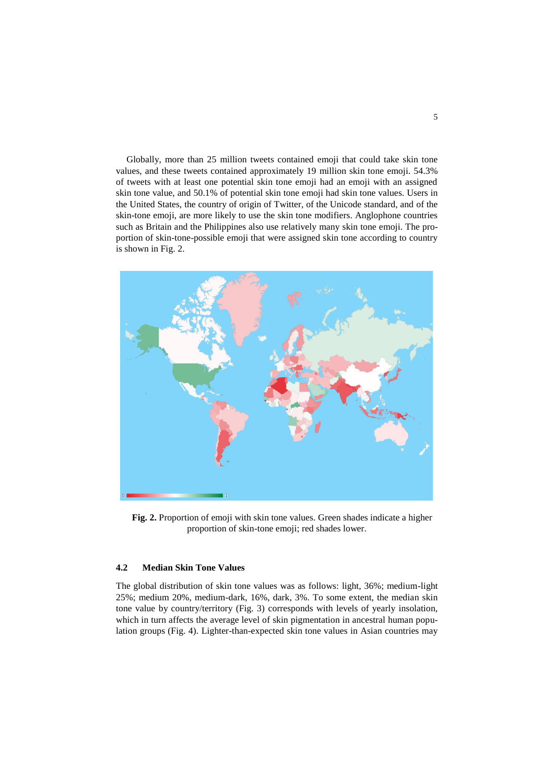Globally, more than 25 million tweets contained emoji that could take skin tone values, and these tweets contained approximately 19 million skin tone emoji. 54.3% of tweets with at least one potential skin tone emoji had an emoji with an assigned skin tone value, and 50.1% of potential skin tone emoji had skin tone values. Users in the United States, the country of origin of Twitter, of the Unicode standard, and of the skin-tone emoji, are more likely to use the skin tone modifiers. Anglophone countries such as Britain and the Philippines also use relatively many skin tone emoji. The proportion of skin-tone-possible emoji that were assigned skin tone according to country is shown in Fig. 2.



**Fig. 2.** Proportion of emoji with skin tone values. Green shades indicate a higher proportion of skin-tone emoji; red shades lower.

### **4.2 Median Skin Tone Values**

The global distribution of skin tone values was as follows: light, 36%; medium-light 25%; medium 20%, medium-dark, 16%, dark, 3%. To some extent, the median skin tone value by country/territory (Fig. 3) corresponds with levels of yearly insolation, which in turn affects the average level of skin pigmentation in ancestral human population groups (Fig. 4). Lighter-than-expected skin tone values in Asian countries may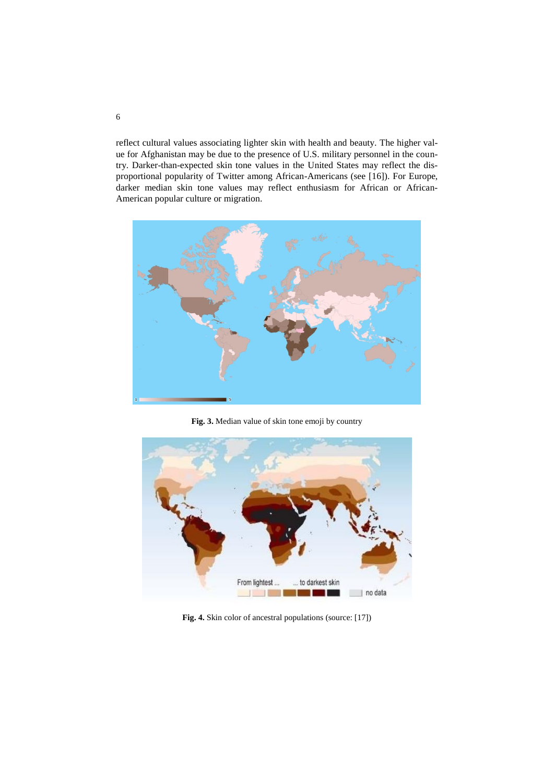reflect cultural values associating lighter skin with health and beauty. The higher value for Afghanistan may be due to the presence of U.S. military personnel in the country. Darker-than-expected skin tone values in the United States may reflect the disproportional popularity of Twitter among African-Americans (see [16]). For Europe, darker median skin tone values may reflect enthusiasm for African or African-American popular culture or migration.



**Fig. 3.** Median value of skin tone emoji by country



**Fig. 4.** Skin color of ancestral populations [\(source:](https://www.quora.com/What-predictions-can-be-made-for-the-future-of-skin-color-in-humans-as-we-become-interstellar-travelers) [17])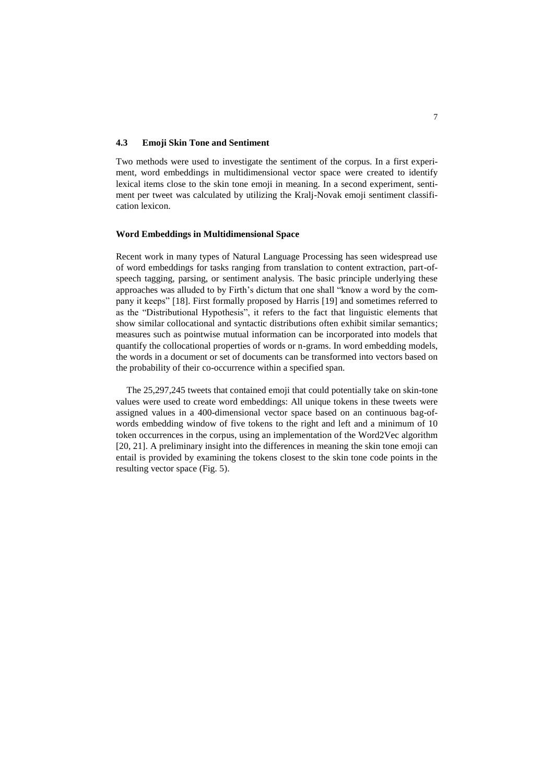### **4.3 Emoji Skin Tone and Sentiment**

Two methods were used to investigate the sentiment of the corpus. In a first experiment, word embeddings in multidimensional vector space were created to identify lexical items close to the skin tone emoji in meaning. In a second experiment, sentiment per tweet was calculated by utilizing the Kralj-Novak emoji sentiment classification lexicon.

### **Word Embeddings in Multidimensional Space**

Recent work in many types of Natural Language Processing has seen widespread use of word embeddings for tasks ranging from translation to content extraction, part-ofspeech tagging, parsing, or sentiment analysis. The basic principle underlying these approaches was alluded to by Firth's dictum that one shall "know a word by the company it keeps" [18]. First formally proposed by Harris [19] and sometimes referred to as the "Distributional Hypothesis", it refers to the fact that linguistic elements that show similar collocational and syntactic distributions often exhibit similar semantics; measures such as pointwise mutual information can be incorporated into models that quantify the collocational properties of words or n-grams. In word embedding models, the words in a document or set of documents can be transformed into vectors based on the probability of their co-occurrence within a specified span.

The 25,297,245 tweets that contained emoji that could potentially take on skin-tone values were used to create word embeddings: All unique tokens in these tweets were assigned values in a 400-dimensional vector space based on an continuous bag-ofwords embedding window of five tokens to the right and left and a minimum of 10 token occurrences in the corpus, using an implementation of the Word2Vec algorithm [20, 21]. A preliminary insight into the differences in meaning the skin tone emoji can entail is provided by examining the tokens closest to the skin tone code points in the resulting vector space (Fig. 5).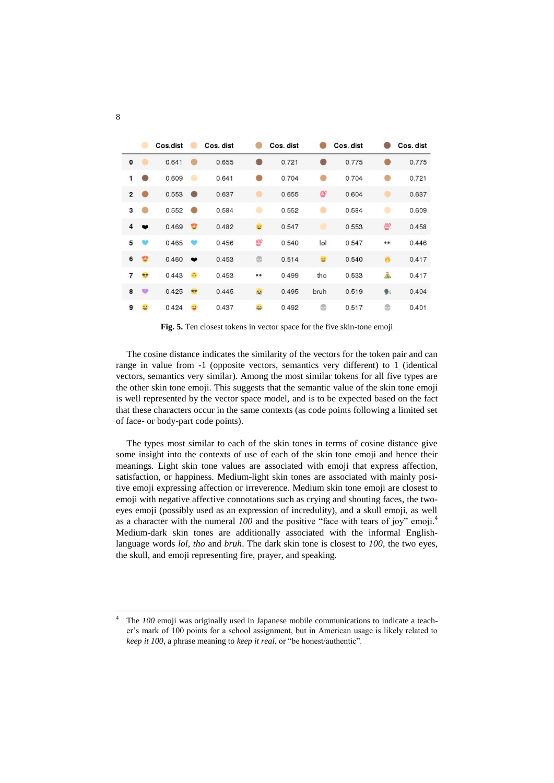|                         |   | Cos.dist |           | Cos. dist |           | Cos. dist |      | Cos. dist |                  | Cos. dist |
|-------------------------|---|----------|-----------|-----------|-----------|-----------|------|-----------|------------------|-----------|
| 0                       |   | 0.641    |           | 0.655     |           | 0.721     |      | 0.775     |                  | 0.775     |
| 1                       |   | 0.609    |           | 0.641     |           | 0.704     |      | 0.704     |                  | 0.721     |
| $\overline{\mathbf{c}}$ |   | 0.553    | 60        | 0.637     | ۰         | 0.655     | 100  | 0.604     | ۰                | 0.637     |
| 3                       |   | 0.552    |           | 0.584     |           | 0.552     |      | 0.584     | ۰                | 0.609     |
| 4                       | œ | 0.469    | ₩         | 0.482     | 뚕         | 0.547     | ۰    | 0.553     | 100              | 0.458     |
| 5                       |   | 0.465    |           | 0.456     | 100       | 0.540     | lol  | 0.547     | $\bullet\bullet$ | 0.446     |
| 6                       | ÷ | 0.460    | $\bullet$ | 0.453     | G         | 0.514     | 客    | 0.540     | 酋                | 0.417     |
| 7                       | ᅘ | 0.443    | a         | 0.453     | $\bullet$ | 0.499     | tho  | 0.533     | Ã                | 0.417     |
| 8                       | ÷ | 0.425    | 99        | 0.445     | 樹         | 0.495     | bruh | 0.519     | g.               | 0.404     |
| 9                       | 昌 | 0.424    | 9         | 0.437     | AA.       | 0.492     | ٣    | 0.517     | ۳                | 0.401     |

**Fig. 5.** Ten closest tokens in vector space for the five skin-tone emoji

The cosine distance indicates the similarity of the vectors for the token pair and can range in value from -1 (opposite vectors, semantics very different) to 1 (identical vectors, semantics very similar). Among the most similar tokens for all five types are the other skin tone emoji. This suggests that the semantic value of the skin tone emoji is well represented by the vector space model, and is to be expected based on the fact that these characters occur in the same contexts (as code points following a limited set of face- or body-part code points).

The types most similar to each of the skin tones in terms of cosine distance give some insight into the contexts of use of each of the skin tone emoji and hence their meanings. Light skin tone values are associated with emoji that express affection, satisfaction, or happiness. Medium-light skin tones are associated with mainly positive emoji expressing affection or irreverence. Medium skin tone emoji are closest to emoji with negative affective connotations such as crying and shouting faces, the twoeyes emoji (possibly used as an expression of incredulity), and a skull emoji, as well as a character with the numeral *100* and the positive "face with tears of joy" emoji. 4 Medium-dark skin tones are additionally associated with the informal Englishlanguage words *lol, tho* and *bruh*. The dark skin tone is closest to *100*, the two eyes, the skull, and emoji representing fire, prayer, and speaking.

 $\overline{4}$ The *100* emoji was originally used in Japanese mobile communications to indicate a teacher's mark of 100 points for a school assignment, but in American usage is likely related to *keep it 100*, a phrase meaning to *keep it real*, or "be honest/authentic".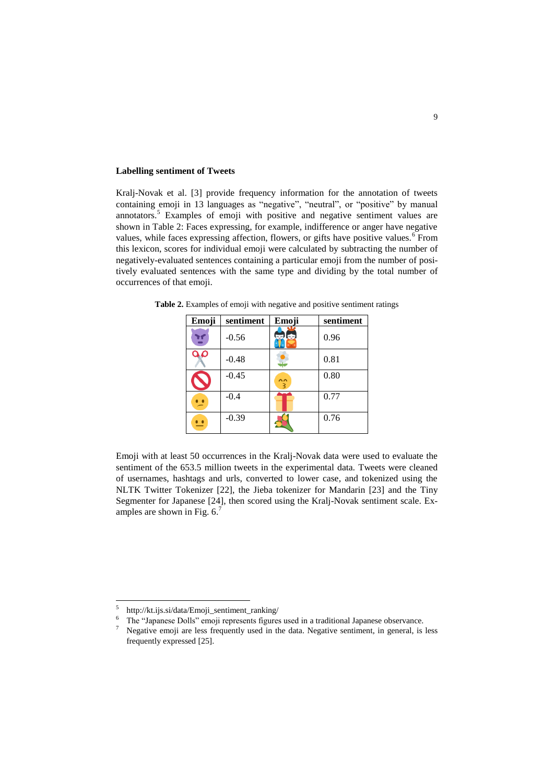### **Labelling sentiment of Tweets**

Kralj-Novak et al. [3] provide frequency information for the annotation of tweets containing emoji in 13 languages as "negative", "neutral", or "positive" by manual annotators.<sup>5</sup> Examples of emoji with positive and negative sentiment values are shown in Table 2: Faces expressing, for example, indifference or anger have negative values, while faces expressing affection, flowers, or gifts have positive values.  $6$  From this lexicon, scores for individual emoji were calculated by subtracting the number of negatively-evaluated sentences containing a particular emoji from the number of positively evaluated sentences with the same type and dividing by the total number of occurrences of that emoji.

| Emoji          | sentiment | Emoji     | sentiment |
|----------------|-----------|-----------|-----------|
| Y              | $-0.56$   | 心         | 0.96      |
| ۵۵             | $-0.48$   |           | 0.81      |
|                | $-0.45$   | $\hat{z}$ | 0.80      |
| $\overline{ }$ | $-0.4$    |           | 0.77      |
|                | $-0.39$   |           | 0.76      |

**Table 2.** Examples of emoji with negative and positive sentiment ratings

Emoji with at least 50 occurrences in the Kralj-Novak data were used to evaluate the sentiment of the 653.5 million tweets in the experimental data. Tweets were cleaned of usernames, hashtags and urls, converted to lower case, and tokenized using the NLTK Twitter Tokenizer [22], the Jieba tokenizer for Mandarin [23] and the Tiny Segmenter for Japanese [24], then scored using the Kralj-Novak sentiment scale. Examples are shown in Fig.  $6<sup>7</sup>$ 

 5 http://kt.ijs.si/data/Emoji\_sentiment\_ranking/

<sup>&</sup>lt;sup>6</sup> The "Japanese Dolls" emoji represents figures used in a traditional Japanese observance.<br><sup>7</sup> Negative emoji are less frequently used in the data. Negative sentiment, in general, is

<sup>7</sup> Negative emoji are less frequently used in the data. Negative sentiment, in general, is less frequently expressed [25].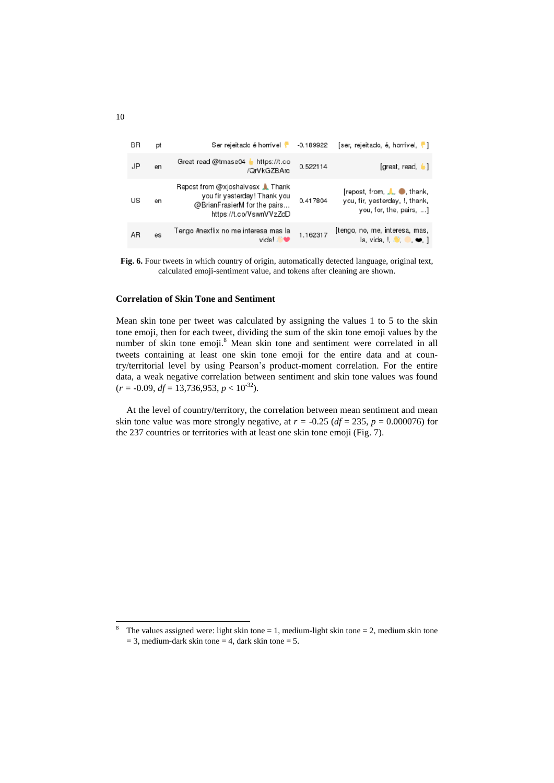| BR | pt | Ser rejeitado é horrível                                                                                                           | $-0.189922$ | [ser, rejeitado, é, horrível, []                                                                 |
|----|----|------------------------------------------------------------------------------------------------------------------------------------|-------------|--------------------------------------------------------------------------------------------------|
| JP | en | Great read @tmase04<br>https://t.co<br>/QrVkGZBArc                                                                                 | 0.522114    | [great, read, 1]                                                                                 |
| US | en | Repost from @xjoshalvesx <b>A</b> Thank<br>you fir yesterday! Thank you<br>@BrianFrasierM for the pairs<br>https://t.co/VswnVVzZdD | 0.417804    | [repost, from, <i>L</i> , ●, thank,<br>you, fir, yesterday, !, thank,<br>you, for, the, pairs, ] |
| AR | es | Tengo #nexflix no me interesa mas la<br>vida                                                                                       | 1.162317    | [tengo, no, me, interesa, mas,<br>la, vida, $\bullet$ $\bullet$ , ]                              |

**Fig. 6.** Four tweets in which country of origin, automatically detected language, original text, calculated emoji-sentiment value, and tokens after cleaning are shown.

### **Correlation of Skin Tone and Sentiment**

Mean skin tone per tweet was calculated by assigning the values 1 to 5 to the skin tone emoji, then for each tweet, dividing the sum of the skin tone emoji values by the number of skin tone emoji. <sup>8</sup> Mean skin tone and sentiment were correlated in all tweets containing at least one skin tone emoji for the entire data and at country/territorial level by using Pearson's product-moment correlation. For the entire data, a weak negative correlation between sentiment and skin tone values was found  $(r = -0.09, df = 13,736,953, p < 10^{-32}).$ 

At the level of country/territory, the correlation between mean sentiment and mean skin tone value was more strongly negative, at  $r = -0.25$  ( $df = 235$ ,  $p = 0.000076$ ) for the 237 countries or territories with at least one skin tone emoji (Fig. 7).

 $\overline{a}$ 

<sup>&</sup>lt;sup>8</sup> The values assigned were: light skin tone = 1, medium-light skin tone = 2, medium skin tone  $= 3$ , medium-dark skin tone  $= 4$ , dark skin tone  $= 5$ .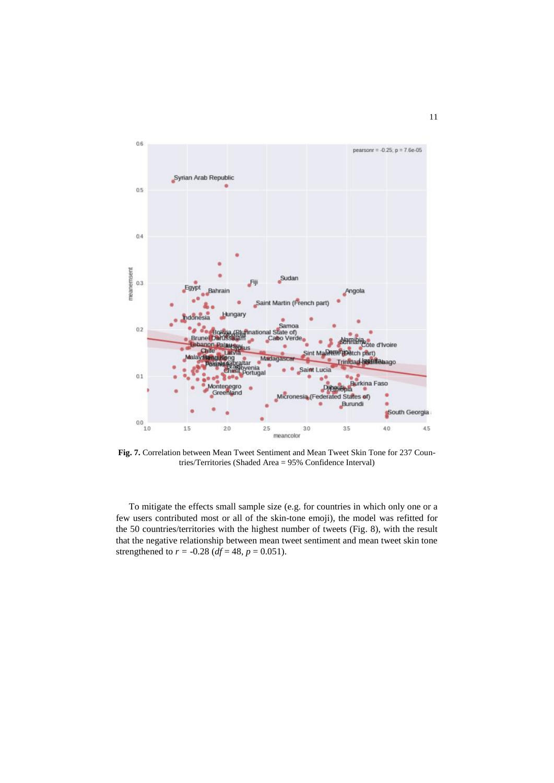

**Fig. 7.** Correlation between Mean Tweet Sentiment and Mean Tweet Skin Tone for 237 Countries/Territories (Shaded Area = 95% Confidence Interval)

To mitigate the effects small sample size (e.g. for countries in which only one or a few users contributed most or all of the skin-tone emoji), the model was refitted for the 50 countries/territories with the highest number of tweets (Fig. 8), with the result that the negative relationship between mean tweet sentiment and mean tweet skin tone strengthened to  $r = -0.28$  ( $df = 48$ ,  $p = 0.051$ ).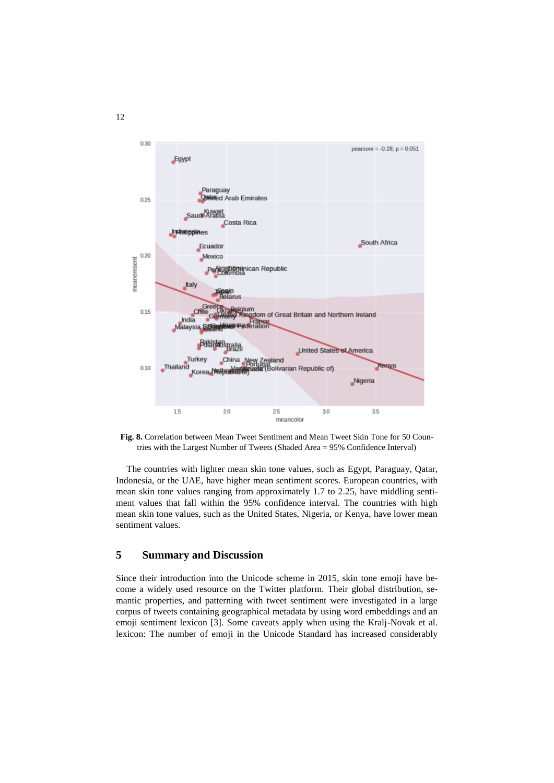

**Fig. 8.** Correlation between Mean Tweet Sentiment and Mean Tweet Skin Tone for 50 Countries with the Largest Number of Tweets (Shaded Area = 95% Confidence Interval)

The countries with lighter mean skin tone values, such as Egypt, Paraguay, Qatar, Indonesia, or the UAE, have higher mean sentiment scores. European countries, with mean skin tone values ranging from approximately 1.7 to 2.25, have middling sentiment values that fall within the 95% confidence interval. The countries with high mean skin tone values, such as the United States, Nigeria, or Kenya, have lower mean sentiment values.

# **5 Summary and Discussion**

Since their introduction into the Unicode scheme in 2015, skin tone emoji have become a widely used resource on the Twitter platform. Their global distribution, semantic properties, and patterning with tweet sentiment were investigated in a large corpus of tweets containing geographical metadata by using word embeddings and an emoji sentiment lexicon [3]. Some caveats apply when using the Kralj-Novak et al. lexicon: The number of emoji in the Unicode Standard has increased considerably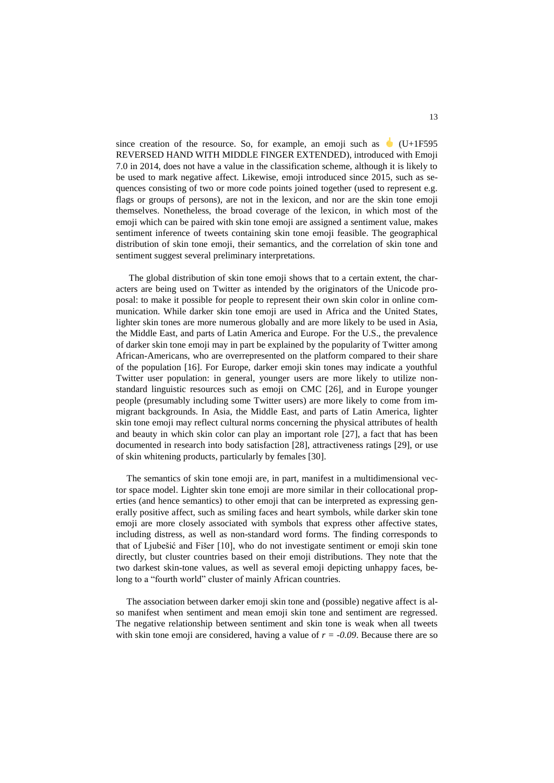since creation of the resource. So, for example, an emoji such as  $\bigcup$  (U+1F595) REVERSED HAND WITH MIDDLE FINGER EXTENDED), introduced with Emoji 7.0 in 2014, does not have a value in the classification scheme, although it is likely to be used to mark negative affect. Likewise, emoji introduced since 2015, such as sequences consisting of two or more code points joined together (used to represent e.g. flags or groups of persons), are not in the lexicon, and nor are the skin tone emoji themselves. Nonetheless, the broad coverage of the lexicon, in which most of the emoji which can be paired with skin tone emoji are assigned a sentiment value, makes sentiment inference of tweets containing skin tone emoji feasible. The geographical distribution of skin tone emoji, their semantics, and the correlation of skin tone and sentiment suggest several preliminary interpretations.

The global distribution of skin tone emoji shows that to a certain extent, the characters are being used on Twitter as intended by the originators of the Unicode proposal: to make it possible for people to represent their own skin color in online communication. While darker skin tone emoji are used in Africa and the United States, lighter skin tones are more numerous globally and are more likely to be used in Asia, the Middle East, and parts of Latin America and Europe. For the U.S., the prevalence of darker skin tone emoji may in part be explained by the popularity of Twitter among African-Americans, who are overrepresented on the platform compared to their share of the population [16]. For Europe, darker emoji skin tones may indicate a youthful Twitter user population: in general, younger users are more likely to utilize nonstandard linguistic resources such as emoji on CMC [26], and in Europe younger people (presumably including some Twitter users) are more likely to come from immigrant backgrounds. In Asia, the Middle East, and parts of Latin America, lighter skin tone emoji may reflect cultural norms concerning the physical attributes of health and beauty in which skin color can play an important role [27], a fact that has been documented in research into body satisfaction [28], attractiveness ratings [29], or use of skin whitening products, particularly by females [30].

The semantics of skin tone emoji are, in part, manifest in a multidimensional vector space model. Lighter skin tone emoji are more similar in their collocational properties (and hence semantics) to other emoji that can be interpreted as expressing generally positive affect, such as smiling faces and heart symbols, while darker skin tone emoji are more closely associated with symbols that express other affective states, including distress, as well as non-standard word forms. The finding corresponds to that of Ljubešić and Fišer [10], who do not investigate sentiment or emoji skin tone directly, but cluster countries based on their emoji distributions. They note that the two darkest skin-tone values, as well as several emoji depicting unhappy faces, belong to a "fourth world" cluster of mainly African countries.

The association between darker emoji skin tone and (possible) negative affect is also manifest when sentiment and mean emoji skin tone and sentiment are regressed. The negative relationship between sentiment and skin tone is weak when all tweets with skin tone emoji are considered, having a value of  $r = -0.09$ . Because there are so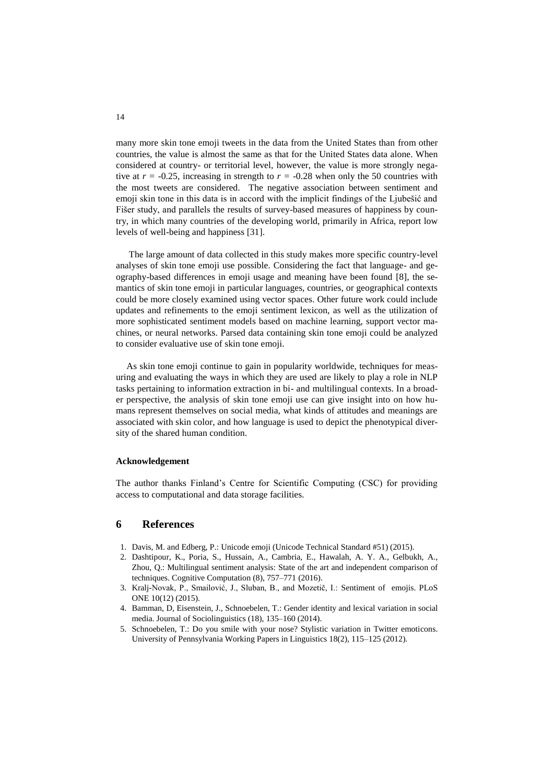many more skin tone emoji tweets in the data from the United States than from other countries, the value is almost the same as that for the United States data alone. When considered at country- or territorial level, however, the value is more strongly negative at  $r = -0.25$ , increasing in strength to  $r = -0.28$  when only the 50 countries with the most tweets are considered. The negative association between sentiment and emoji skin tone in this data is in accord with the implicit findings of the Ljubešić and Fišer study, and parallels the results of survey-based measures of happiness by country, in which many countries of the developing world, primarily in Africa, report low levels of well-being and happiness [31].

The large amount of data collected in this study makes more specific country-level analyses of skin tone emoji use possible. Considering the fact that language- and geography-based differences in emoji usage and meaning have been found [8], the semantics of skin tone emoji in particular languages, countries, or geographical contexts could be more closely examined using vector spaces. Other future work could include updates and refinements to the emoji sentiment lexicon, as well as the utilization of more sophisticated sentiment models based on machine learning, support vector machines, or neural networks. Parsed data containing skin tone emoji could be analyzed to consider evaluative use of skin tone emoji.

As skin tone emoji continue to gain in popularity worldwide, techniques for measuring and evaluating the ways in which they are used are likely to play a role in NLP tasks pertaining to information extraction in bi- and multilingual contexts. In a broader perspective, the analysis of skin tone emoji use can give insight into on how humans represent themselves on social media, what kinds of attitudes and meanings are associated with skin color, and how language is used to depict the phenotypical diversity of the shared human condition.

#### **Acknowledgement**

The author thanks Finland's Centre for Scientific Computing (CSC) for providing access to computational and data storage facilities.

## **6 References**

- 1. Davis, M. and Edberg, P.: Unicode emoji (Unicode Technical Standard #51) (2015).
- 2. Dashtipour, K., Poria, S., Hussain, A., Cambria, E., Hawalah, A. Y. A., Gelbukh, A., Zhou, Q.: Multilingual sentiment analysis: State of the art and independent comparison of techniques. Cognitive Computation (8), 757–771 (2016).
- 3. Kralj-Novak, P., Smailović, J., Sluban, B., and Mozetič, I.: Sentiment of emojis. PLoS ONE 10(12) (2015).
- 4. Bamman, D, Eisenstein, J., Schnoebelen, T.: Gender identity and lexical variation in social media. Journal of Sociolinguistics (18), 135–160 (2014).
- 5. Schnoebelen, T.: Do you smile with your nose? Stylistic variation in Twitter emoticons. University of Pennsylvania Working Papers in Linguistics 18(2), 115–125 (2012).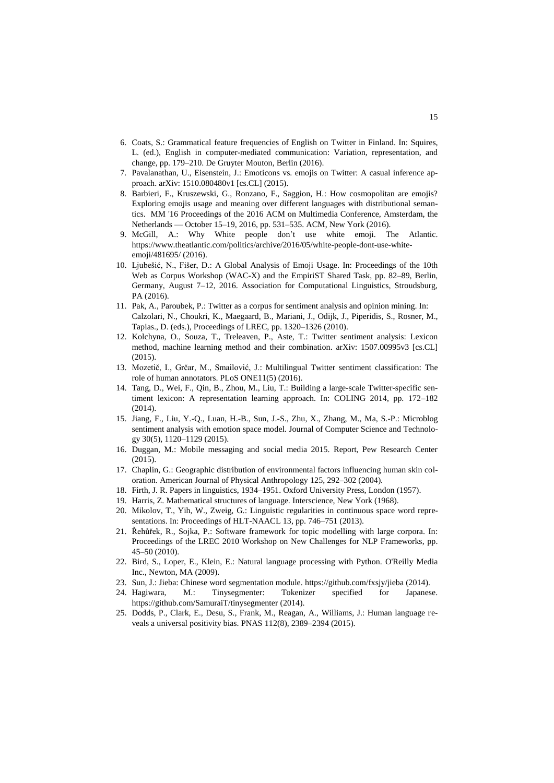- 6. Coats, S.: Grammatical feature frequencies of English on Twitter in Finland. In: Squires, L. (ed.), English in computer-mediated communication: Variation, representation, and change, pp. 179–210. De Gruyter Mouton, Berlin (2016).
- 7. Pavalanathan, U., Eisenstein, J.: Emoticons vs. emojis on Twitter: A casual inference approach. arXiv: 1510.080480v1 [cs.CL] (2015).
- 8. Barbieri, F., Kruszewski, G., Ronzano, F., Saggion, H.: How cosmopolitan are emojis? Exploring emojis usage and meaning over different languages with distributional semantics. MM '16 Proceedings of the 2016 ACM on Multimedia Conference, Amsterdam, the Netherlands — October 15–19, 2016, pp. 531–535. ACM, New York (2016).
- 9. McGill, A.: Why White people don't use white emoji. The Atlantic. [https://www.theatlantic.com/politics/archive/2016/05/white-people-dont-use-white](https://www.theatlantic.com/politics/archive/2016/05/white-people-dont-use-white-emoji/481695/)[emoji/481695/](https://www.theatlantic.com/politics/archive/2016/05/white-people-dont-use-white-emoji/481695/) (2016).
- 10. Ljubešić, N., Fišer, D.: A Global Analysis of Emoji Usage. In: Proceedings of the 10th Web as Corpus Workshop (WAC-X) and the EmpiriST Shared Task, pp. 82–89, Berlin, Germany, August 7–12, 2016. Association for Computational Linguistics, Stroudsburg, PA (2016).
- 11. Pak, A., Paroubek, P.: Twitter as a corpus for sentiment analysis and opinion mining. In: Calzolari, N., Choukri, K., Maegaard, B., Mariani, J., Odijk, J., Piperidis, S., Rosner, M., Tapias., D. (eds.), Proceedings of LREC, pp. 1320–1326 (2010).
- 12. Kolchyna, O., Souza, T., Treleaven, P., Aste, T.: Twitter sentiment analysis: Lexicon method, machine learning method and their combination. arXiv: 1507.00995v3 [cs.CL]  $(2015)$ .
- 13. Mozetič, I., Grčar, M., Smailović, J.: Multilingual Twitter sentiment classification: The role of human annotators. PLoS ONE11(5) (2016).
- 14. Tang, D., Wei, F., Qin, B., Zhou, M., Liu, T.: Building a large-scale Twitter-specific sentiment lexicon: A representation learning approach. In: COLING 2014, pp. 172–182 (2014).
- 15. Jiang, F., Liu, Y.-Q., Luan, H.-B., Sun, J.-S., Zhu, X., Zhang, M., Ma, S.-P.: Microblog sentiment analysis with emotion space model. Journal of Computer Science and Technology 30(5), 1120–1129 (2015).
- 16. Duggan, M.: Mobile messaging and social media 2015. Report, Pew Research Center (2015).
- 17. Chaplin, G.: Geographic distribution of environmental factors influencing human skin coloration. American Journal of Physical Anthropology 125, 292–302 (2004).
- 18. Firth, J. R. Papers in linguistics, 1934–1951. Oxford University Press, London (1957).
- 19. Harris, Z. Mathematical structures of language. Interscience, New York (1968).
- 20. Mikolov, T., Yih, W., Zweig, G.: Linguistic regularities in continuous space word representations. In: Proceedings of HLT-NAACL 13, pp. 746–751 (2013).
- 21. Řehůřek, R., Sojka, P.: Software framework for topic modelling with large corpora. In: Proceedings of the LREC 2010 Workshop on New Challenges for NLP Frameworks, pp. 45–50 (2010).
- 22. Bird, S., Loper, E., Klein, E.: Natural language processing with Python. O'Reilly Media Inc., Newton, MA (2009).
- 23. Sun, J.: Jieba: Chinese word segmentation module[. https://github.com/fxsjy/jieba](https://github.com/fxsjy/jieba) (2014).
- 24. Hagiwara, M.: Tinysegmenter: Tokenizer specified for Japanese. <https://github.com/SamuraiT/tinysegmenter> (2014).
- 25. Dodds, P., Clark, E., Desu, S., Frank, M., Reagan, A., Williams, J.: Human language reveals a universal positivity bias. PNAS 112(8), 2389–2394 (2015).